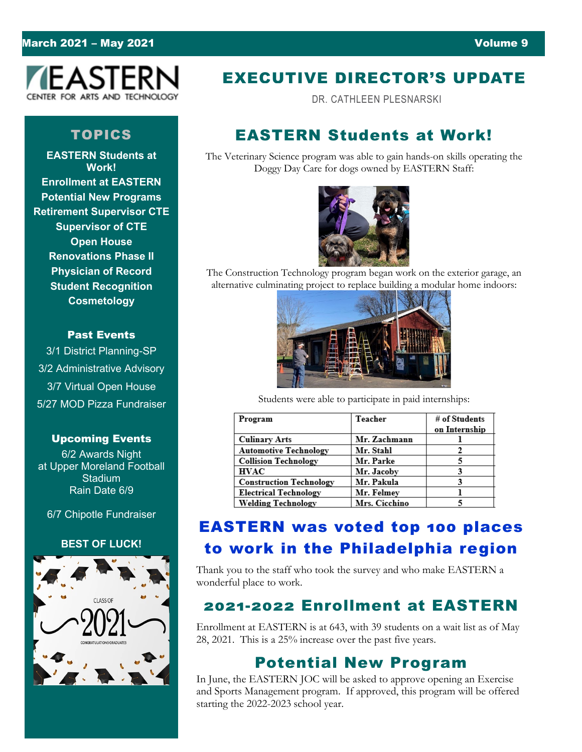## March 2021 – May 2021 **Volume 9**



# TOPICS

**EASTERN Students at Work! Enrollment at EASTERN Potential New Programs Retirement Supervisor CTE Supervisor of CTE Open House Renovations Phase II Physician of Record Student Recognition Cosmetology**

#### Past Events

3/1 District Planning-SP 3/2 Administrative Advisory 3/7 Virtual Open House 5/27 MOD Pizza Fundraiser

#### Upcoming Events

6/2 Awards Night at Upper Moreland Football **Stadium** Rain Date 6/9

6/7 Chipotle Fundraiser

### **BEST OF LUCK!**



# EXECUTIVE DIRECTOR'S UPDATE

DR. CATHLEEN PLESNARSKI

# EASTERN Students at Work!

The Veterinary Science program was able to gain hands-on skills operating the Doggy Day Care for dogs owned by EASTERN Staff:



The Construction Technology program began work on the exterior garage, an alternative culminating project to replace building a modular home indoors:



Students were able to participate in paid internships:

| Program                        | Teacher       | # of Students |
|--------------------------------|---------------|---------------|
|                                |               | on Internship |
| <b>Culinary Arts</b>           | Mr. Zachmann  |               |
| <b>Automotive Technology</b>   | Mr. Stahl     |               |
| <b>Collision Technology</b>    | Mr. Parke     |               |
| <b>HVAC</b>                    | Mr. Jacoby    |               |
| <b>Construction Technology</b> | Mr. Pakula    |               |
| Electrical Technology          | Mr. Felmev    |               |
| <b>Welding Technology</b>      | Mrs. Cicchino |               |

# EASTERN was voted top 100 places to work in the Philadelphia region

Thank you to the staff who took the survey and who make EASTERN a wonderful place to work.

# 2021-2022 Enrollment at EASTERN

Enrollment at EASTERN is at 643, with 39 students on a wait list as of May 28, 2021. This is a 25% increase over the past five years.

# Potential New Program

In June, the EASTERN JOC will be asked to approve opening an Exercise and Sports Management program. If approved, this program will be offered starting the 2022-2023 school year.